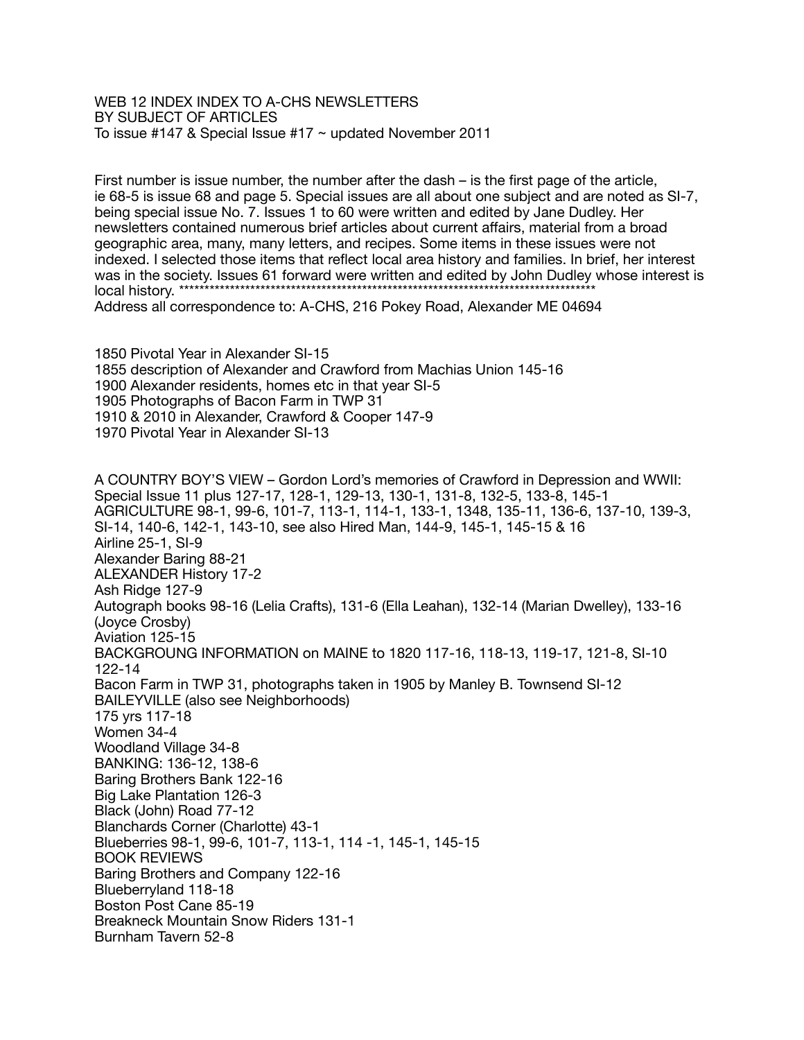WEB 12 INDEX INDEX TO A-CHS NEWSLETTERS BY SUBJECT OF ARTICLES To issue #147 & Special Issue #17 ~ updated November 2011

First number is issue number, the number after the dash – is the first page of the article, ie 68-5 is issue 68 and page 5. Special issues are all about one subject and are noted as SI-7, being special issue No. 7. Issues 1 to 60 were written and edited by Jane Dudley. Her newsletters contained numerous brief articles about current affairs, material from a broad geographic area, many, many letters, and recipes. Some items in these issues were not indexed. I selected those items that reflect local area history and families. In brief, her interest was in the society. Issues 61 forward were written and edited by John Dudley whose interest is local history. \*\*\* Address all correspondence to: A-CHS, 216 Pokey Road, Alexander ME 04694

 Pivotal Year in Alexander SI-15 description of Alexander and Crawford from Machias Union 145-16 Alexander residents, homes etc in that year SI-5 Photographs of Bacon Farm in TWP 31 1910 & 2010 in Alexander, Crawford & Cooper 147-9 Pivotal Year in Alexander SI-13

A COUNTRY BOY'S VIEW – Gordon Lord's memories of Crawford in Depression and WWII: Special Issue 11 plus 127-17, 128-1, 129-13, 130-1, 131-8, 132-5, 133-8, 145-1 AGRICULTURE 98-1, 99-6, 101-7, 113-1, 114-1, 133-1, 1348, 135-11, 136-6, 137-10, 139-3, SI-14, 140-6, 142-1, 143-10, see also Hired Man, 144-9, 145-1, 145-15 & 16 Airline 25-1, SI-9 Alexander Baring 88-21 ALEXANDER History 17-2 Ash Ridge 127-9 Autograph books 98-16 (Lelia Crafts), 131-6 (Ella Leahan), 132-14 (Marian Dwelley), 133-16 (Joyce Crosby) Aviation 125-15 BACKGROUNG INFORMATION on MAINE to 1820 117-16, 118-13, 119-17, 121-8, SI-10 122-14 Bacon Farm in TWP 31, photographs taken in 1905 by Manley B. Townsend SI-12 BAILEYVILLE (also see Neighborhoods) 175 yrs 117-18 Women 34-4 Woodland Village 34-8 BANKING: 136-12, 138-6 Baring Brothers Bank 122-16 Big Lake Plantation 126-3 Black (John) Road 77-12 Blanchards Corner (Charlotte) 43-1 Blueberries 98-1, 99-6, 101-7, 113-1, 114 -1, 145-1, 145-15 BOOK REVIEWS Baring Brothers and Company 122-16 Blueberryland 118-18 Boston Post Cane 85-19 Breakneck Mountain Snow Riders 131-1 Burnham Tavern 52-8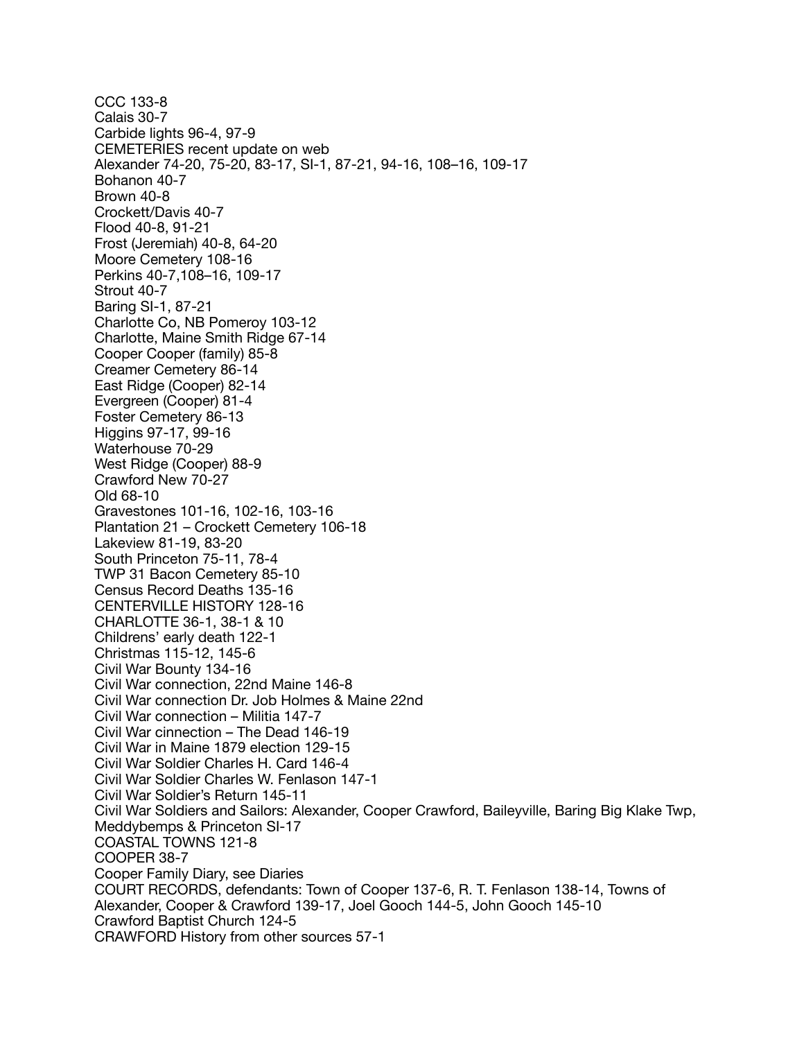CCC 133-8 Calais 30-7 Carbide lights 96-4, 97-9 CEMETERIES recent update on web Alexander 74-20, 75-20, 83-17, SI-1, 87-21, 94-16, 108–16, 109-17 Bohanon 40-7 Brown 40-8 Crockett/Davis 40-7 Flood 40-8, 91-21 Frost (Jeremiah) 40-8, 64-20 Moore Cemetery 108-16 Perkins 40-7,108–16, 109-17 Strout 40-7 Baring SI-1, 87-21 Charlotte Co, NB Pomeroy 103-12 Charlotte, Maine Smith Ridge 67-14 Cooper Cooper (family) 85-8 Creamer Cemetery 86-14 East Ridge (Cooper) 82-14 Evergreen (Cooper) 81-4 Foster Cemetery 86-13 Higgins 97-17, 99-16 Waterhouse 70-29 West Ridge (Cooper) 88-9 Crawford New 70-27 Old 68-10 Gravestones 101-16, 102-16, 103-16 Plantation 21 – Crockett Cemetery 106-18 Lakeview 81-19, 83-20 South Princeton 75-11, 78-4 TWP 31 Bacon Cemetery 85-10 Census Record Deaths 135-16 CENTERVILLE HISTORY 128-16 CHARLOTTE 36-1, 38-1 & 10 Childrens' early death 122-1 Christmas 115-12, 145-6 Civil War Bounty 134-16 Civil War connection, 22nd Maine 146-8 Civil War connection Dr. Job Holmes & Maine 22nd Civil War connection – Militia 147-7 Civil War cinnection – The Dead 146-19 Civil War in Maine 1879 election 129-15 Civil War Soldier Charles H. Card 146-4 Civil War Soldier Charles W. Fenlason 147-1 Civil War Soldier's Return 145-11 Civil War Soldiers and Sailors: Alexander, Cooper Crawford, Baileyville, Baring Big Klake Twp, Meddybemps & Princeton SI-17 COASTAL TOWNS 121-8 COOPER 38-7 Cooper Family Diary, see Diaries COURT RECORDS, defendants: Town of Cooper 137-6, R. T. Fenlason 138-14, Towns of Alexander, Cooper & Crawford 139-17, Joel Gooch 144-5, John Gooch 145-10 Crawford Baptist Church 124-5 CRAWFORD History from other sources 57-1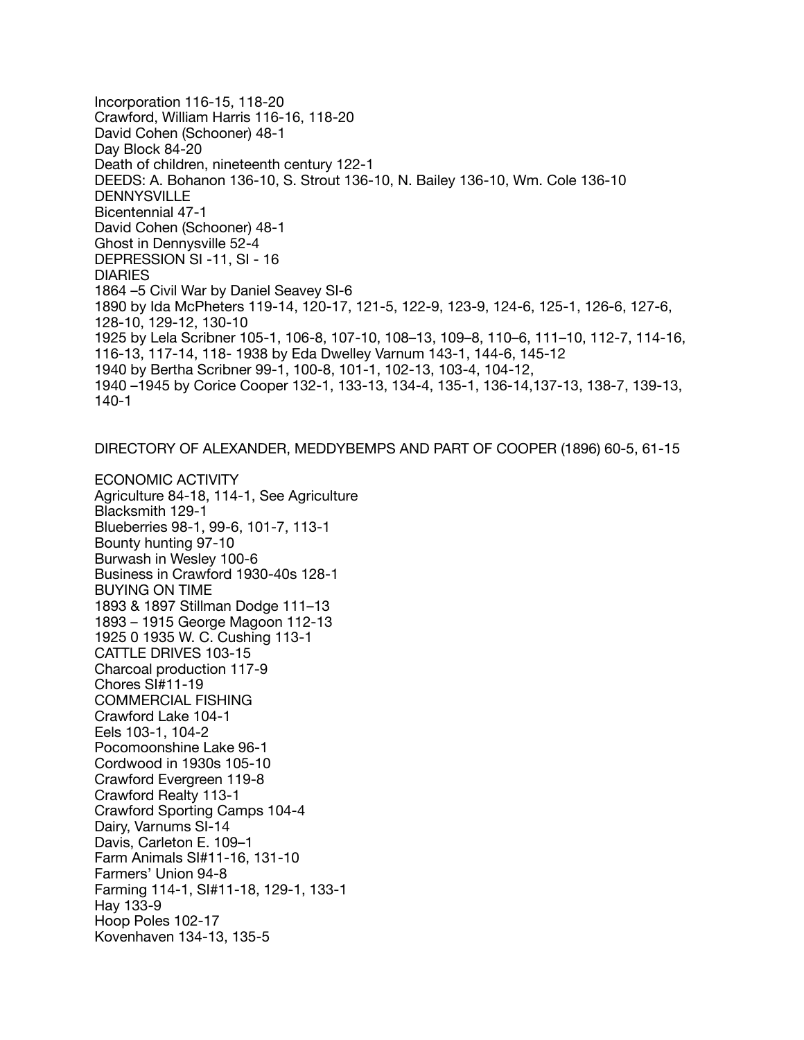Incorporation 116-15, 118-20 Crawford, William Harris 116-16, 118-20 David Cohen (Schooner) 48-1 Day Block 84-20 Death of children, nineteenth century 122-1 DEEDS: A. Bohanon 136-10, S. Strout 136-10, N. Bailey 136-10, Wm. Cole 136-10 DENNYSVILLE Bicentennial 47-1 David Cohen (Schooner) 48-1 Ghost in Dennysville 52-4 DEPRESSION SI -11, SI - 16 DIARIES 1864 –5 Civil War by Daniel Seavey SI-6 1890 by Ida McPheters 119-14, 120-17, 121-5, 122-9, 123-9, 124-6, 125-1, 126-6, 127-6, 128-10, 129-12, 130-10 1925 by Lela Scribner 105-1, 106-8, 107-10, 108–13, 109–8, 110–6, 111–10, 112-7, 114-16, 116-13, 117-14, 118- 1938 by Eda Dwelley Varnum 143-1, 144-6, 145-12 1940 by Bertha Scribner 99-1, 100-8, 101-1, 102-13, 103-4, 104-12, 1940 –1945 by Corice Cooper 132-1, 133-13, 134-4, 135-1, 136-14,137-13, 138-7, 139-13, 140-1

DIRECTORY OF ALEXANDER, MEDDYBEMPS AND PART OF COOPER (1896) 60-5, 61-15

ECONOMIC ACTIVITY Agriculture 84-18, 114-1, See Agriculture Blacksmith 129-1 Blueberries 98-1, 99-6, 101-7, 113-1 Bounty hunting 97-10 Burwash in Wesley 100-6 Business in Crawford 1930-40s 128-1 BUYING ON TIME 1893 & 1897 Stillman Dodge 111–13 1893 – 1915 George Magoon 112-13 1925 0 1935 W. C. Cushing 113-1 CATTLE DRIVES 103-15 Charcoal production 117-9 Chores SI#11-19 COMMERCIAL FISHING Crawford Lake 104-1 Eels 103-1, 104-2 Pocomoonshine Lake 96-1 Cordwood in 1930s 105-10 Crawford Evergreen 119-8 Crawford Realty 113-1 Crawford Sporting Camps 104-4 Dairy, Varnums SI-14 Davis, Carleton E. 109–1 Farm Animals SI#11-16, 131-10 Farmers' Union 94-8 Farming 114-1, SI#11-18, 129-1, 133-1 Hay 133-9 Hoop Poles 102-17 Kovenhaven 134-13, 135-5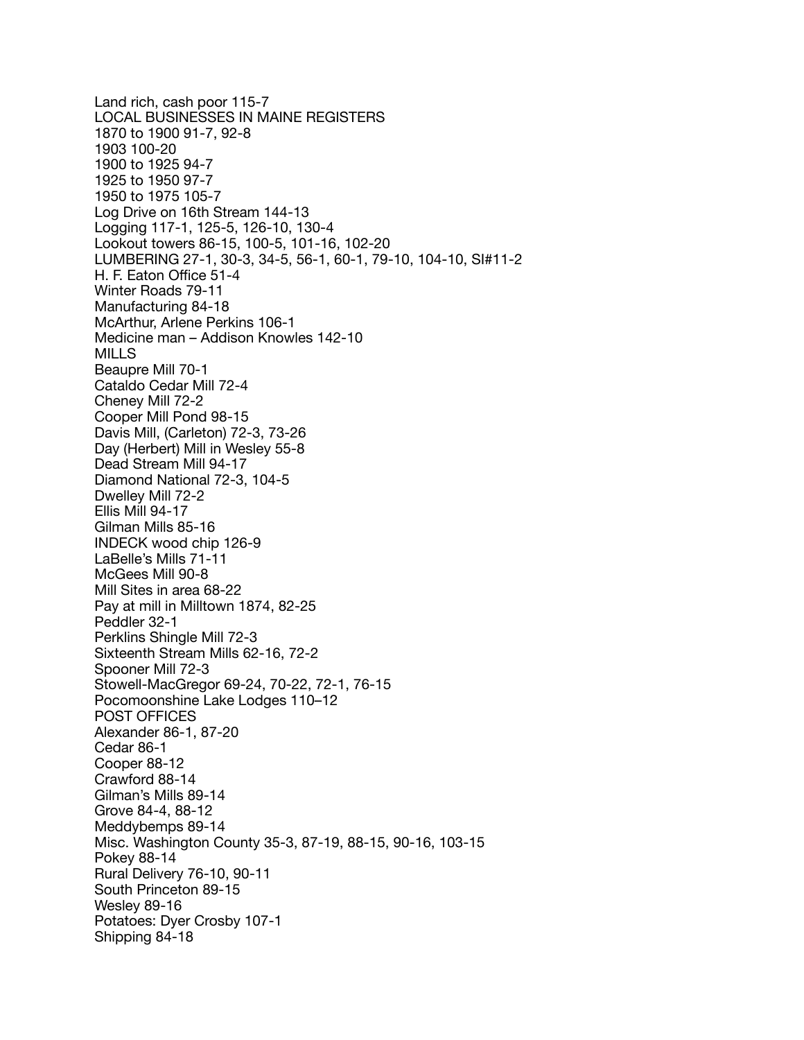Land rich, cash poor 115-7 LOCAL BUSINESSES IN MAINE REGISTERS 1870 to 1900 91-7, 92-8 1903 100-20 1900 to 1925 94-7 1925 to 1950 97-7 1950 to 1975 105-7 Log Drive on 16th Stream 144-13 Logging 117-1, 125-5, 126-10, 130-4 Lookout towers 86-15, 100-5, 101-16, 102-20 LUMBERING 27-1, 30-3, 34-5, 56-1, 60-1, 79-10, 104-10, SI#11-2 H. F. Eaton Office 51-4 Winter Roads 79-11 Manufacturing 84-18 McArthur, Arlene Perkins 106-1 Medicine man – Addison Knowles 142-10 MILLS Beaupre Mill 70-1 Cataldo Cedar Mill 72-4 Cheney Mill 72-2 Cooper Mill Pond 98-15 Davis Mill, (Carleton) 72-3, 73-26 Day (Herbert) Mill in Wesley 55-8 Dead Stream Mill 94-17 Diamond National 72-3, 104-5 Dwelley Mill 72-2 Ellis Mill 94-17 Gilman Mills 85-16 INDECK wood chip 126-9 LaBelle's Mills 71-11 McGees Mill 90-8 Mill Sites in area 68-22 Pay at mill in Milltown 1874, 82-25 Peddler 32-1 Perklins Shingle Mill 72-3 Sixteenth Stream Mills 62-16, 72-2 Spooner Mill 72-3 Stowell-MacGregor 69-24, 70-22, 72-1, 76-15 Pocomoonshine Lake Lodges 110–12 POST OFFICES Alexander 86-1, 87-20 Cedar 86-1 Cooper 88-12 Crawford 88-14 Gilman's Mills 89-14 Grove 84-4, 88-12 Meddybemps 89-14 Misc. Washington County 35-3, 87-19, 88-15, 90-16, 103-15 Pokey 88-14 Rural Delivery 76-10, 90-11 South Princeton 89-15 Wesley 89-16 Potatoes: Dyer Crosby 107-1 Shipping 84-18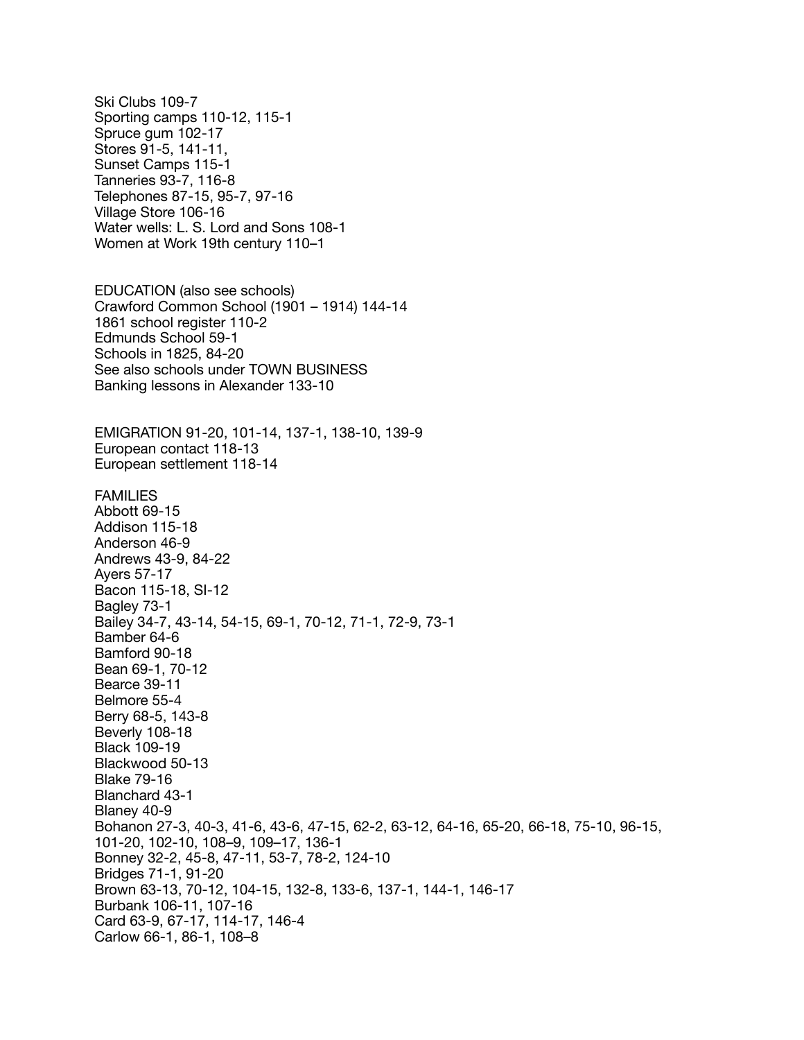Ski Clubs 109-7 Sporting camps 110-12, 115-1 Spruce gum 102-17 Stores 91-5, 141-11, Sunset Camps 115-1 Tanneries 93-7, 116-8 Telephones 87-15, 95-7, 97-16 Village Store 106-16 Water wells: L. S. Lord and Sons 108-1 Women at Work 19th century 110–1 EDUCATION (also see schools) Crawford Common School (1901 – 1914) 144-14 1861 school register 110-2 Edmunds School 59-1 Schools in 1825, 84-20 See also schools under TOWN BUSINESS Banking lessons in Alexander 133-10 EMIGRATION 91-20, 101-14, 137-1, 138-10, 139-9 European contact 118-13 European settlement 118-14 FAMILIES Abbott 69-15 Addison 115-18 Anderson 46-9 Andrews 43-9, 84-22 Ayers 57-17 Bacon 115-18, SI-12 Bagley 73-1 Bailey 34-7, 43-14, 54-15, 69-1, 70-12, 71-1, 72-9, 73-1 Bamber 64-6 Bamford 90-18 Bean 69-1, 70-12 Bearce 39-11 Belmore 55-4 Berry 68-5, 143-8 Beverly 108-18 Black 109-19 Blackwood 50-13 Blake 79-16 Blanchard 43-1 Blaney 40-9 Bohanon 27-3, 40-3, 41-6, 43-6, 47-15, 62-2, 63-12, 64-16, 65-20, 66-18, 75-10, 96-15, 101-20, 102-10, 108–9, 109–17, 136-1 Bonney 32-2, 45-8, 47-11, 53-7, 78-2, 124-10 Bridges 71-1, 91-20 Brown 63-13, 70-12, 104-15, 132-8, 133-6, 137-1, 144-1, 146-17 Burbank 106-11, 107-16 Card 63-9, 67-17, 114-17, 146-4 Carlow 66-1, 86-1, 108–8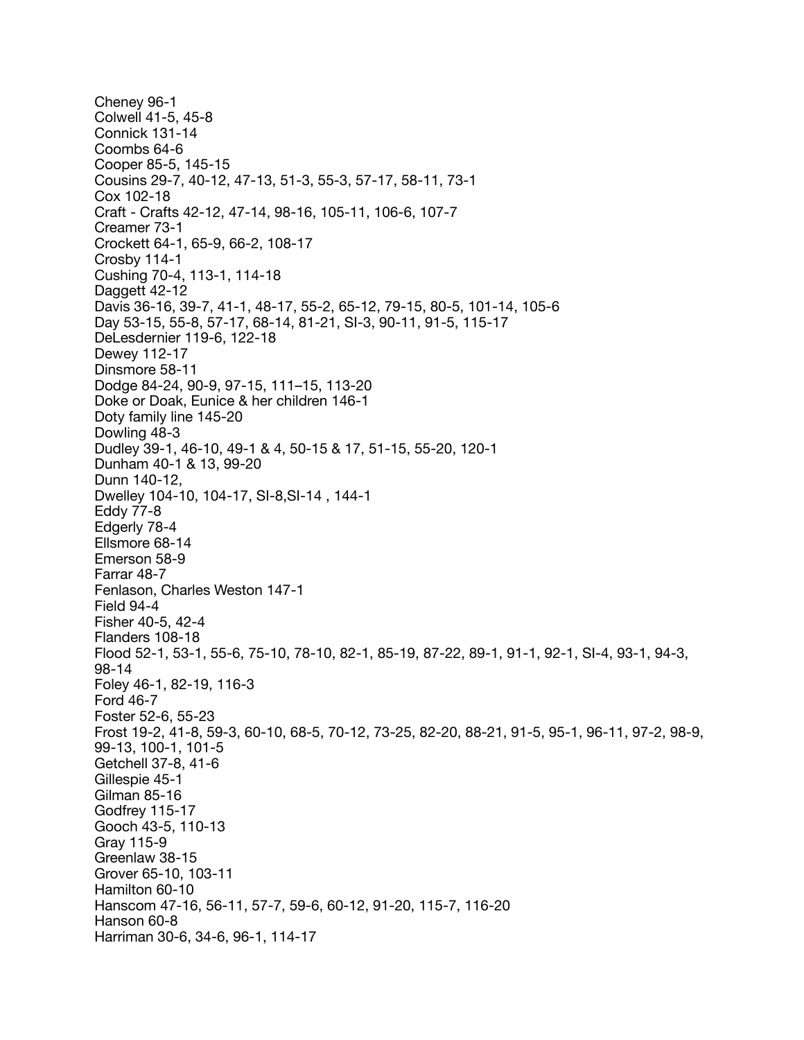Cheney 96-1 Colwell 41-5, 45-8 Connick 131-14 Coombs 64-6 Cooper 85-5, 145-15 Cousins 29-7, 40-12, 47-13, 51-3, 55-3, 57-17, 58-11, 73-1 Cox 102-18 Craft - Crafts 42-12, 47-14, 98-16, 105-11, 106-6, 107-7 Creamer 73-1 Crockett 64-1, 65-9, 66-2, 108-17 Crosby 114-1 Cushing 70-4, 113-1, 114-18 Daggett 42-12 Davis 36-16, 39-7, 41-1, 48-17, 55-2, 65-12, 79-15, 80-5, 101-14, 105-6 Day 53-15, 55-8, 57-17, 68-14, 81-21, SI-3, 90-11, 91-5, 115-17 DeLesdernier 119-6, 122-18 Dewey 112-17 Dinsmore 58-11 Dodge 84-24, 90-9, 97-15, 111–15, 113-20 Doke or Doak, Eunice & her children 146-1 Doty family line 145-20 Dowling 48-3 Dudley 39-1, 46-10, 49-1 & 4, 50-15 & 17, 51-15, 55-20, 120-1 Dunham 40-1 & 13, 99-20 Dunn 140-12, Dwelley 104-10, 104-17, SI-8,SI-14 , 144-1 Eddy 77-8 Edgerly 78-4 Ellsmore 68-14 Emerson 58-9 Farrar 48-7 Fenlason, Charles Weston 147-1 Field 94-4 Fisher 40-5, 42-4 Flanders 108-18 Flood 52-1, 53-1, 55-6, 75-10, 78-10, 82-1, 85-19, 87-22, 89-1, 91-1, 92-1, SI-4, 93-1, 94-3, 98-14 Foley 46-1, 82-19, 116-3 Ford 46-7 Foster 52-6, 55-23 Frost 19-2, 41-8, 59-3, 60-10, 68-5, 70-12, 73-25, 82-20, 88-21, 91-5, 95-1, 96-11, 97-2, 98-9, 99-13, 100-1, 101-5 Getchell 37-8, 41-6 Gillespie 45-1 Gilman 85-16 Godfrey 115-17 Gooch 43-5, 110-13 Gray 115-9 Greenlaw 38-15 Grover 65-10, 103-11 Hamilton 60-10 Hanscom 47-16, 56-11, 57-7, 59-6, 60-12, 91-20, 115-7, 116-20 Hanson 60-8 Harriman 30-6, 34-6, 96-1, 114-17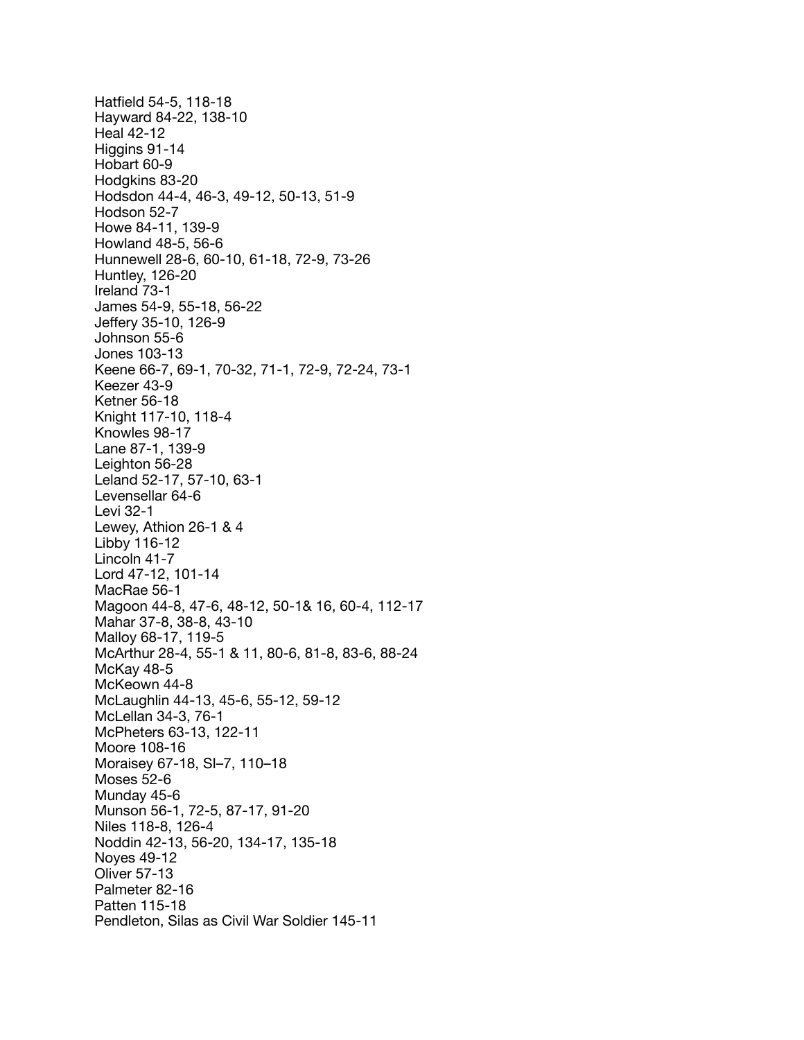Hatfield 54-5, 118-18 Hayward 84-22, 138-10 Heal 42-12 Higgins 91-14 Hobart 60-9 Hodgkins 83-20 Hodsdon 44-4, 46-3, 49-12, 50-13, 51-9 Hodson 52-7 Howe 84-11, 139-9 Howland 48-5, 56-6 Hunnewell 28-6, 60-10, 61-18, 72-9, 73-26 Huntley, 126-20 Ireland 73-1 James 54-9, 55-18, 56-22 Jeffery 35-10, 126-9 Johnson 55-6 Jones 103-13 Keene 66-7, 69-1, 70-32, 71-1, 72-9, 72-24, 73-1 Keezer 43-9 Ketner 56-18 Knight 117-10, 118-4 Knowles 98-17 Lane 87-1, 139-9 Leighton 56-28 Leland 52-17, 57-10, 63-1 Levensellar 64-6 Levi 32-1 Lewey, Athion 26-1 & 4 Libby 116-12 Lincoln 41-7 Lord 47-12, 101-14 MacRae 56-1 Magoon 44-8, 47-6, 48-12, 50-1& 16, 60-4, 112-17 Mahar 37-8, 38-8, 43-10 Malloy 68-17, 119-5 McArthur 28-4, 55-1 & 11, 80-6, 81-8, 83-6, 88-24 McKay 48-5 McKeown 44-8 McLaughlin 44-13, 45-6, 55-12, 59-12 McLellan 34-3, 76-1 McPheters 63-13, 122-11 Moore 108-16 Moraisey 67-18, SI–7, 110–18 Moses 52-6 Munday 45-6 Munson 56-1, 72-5, 87-17, 91-20 Niles 118-8, 126-4 Noddin 42-13, 56-20, 134-17, 135-18 Noyes 49-12 Oliver 57-13 Palmeter 82-16 Patten 115-18 Pendleton, Silas as Civil War Soldier 145-11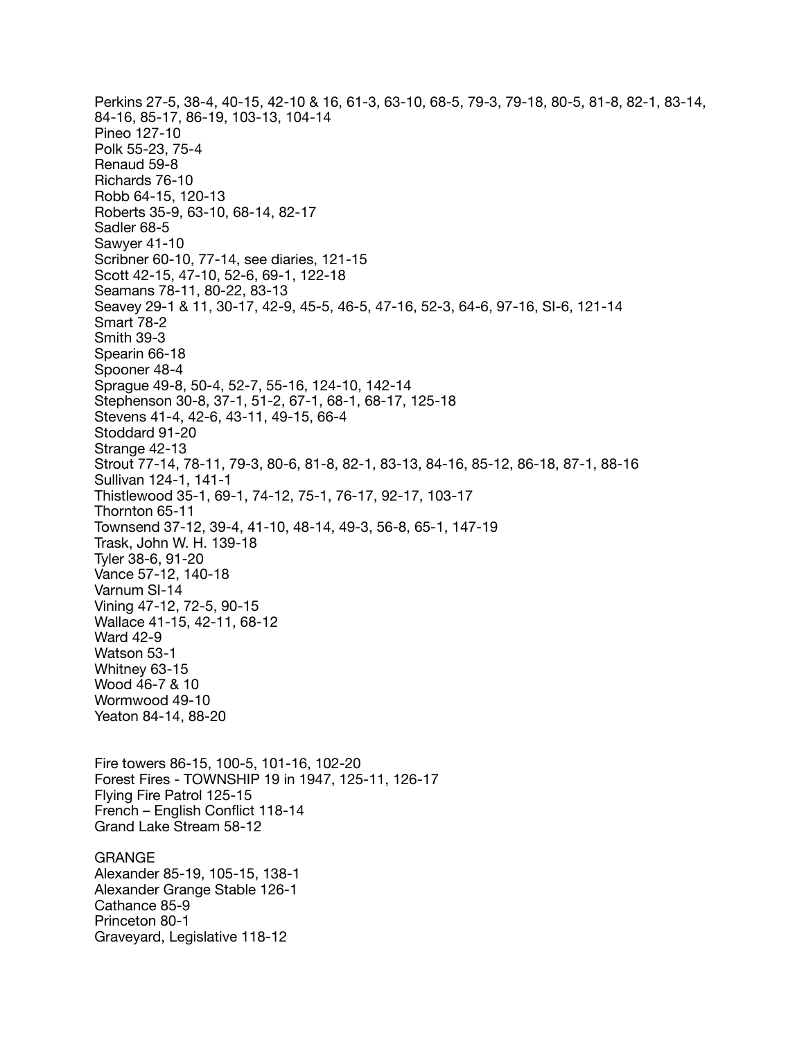Perkins 27-5, 38-4, 40-15, 42-10 & 16, 61-3, 63-10, 68-5, 79-3, 79-18, 80-5, 81-8, 82-1, 83-14, 84-16, 85-17, 86-19, 103-13, 104-14 Pineo 127-10 Polk 55-23, 75-4 Renaud 59-8 Richards 76-10 Robb 64-15, 120-13 Roberts 35-9, 63-10, 68-14, 82-17 Sadler 68-5 Sawyer 41-10 Scribner 60-10, 77-14, see diaries, 121-15 Scott 42-15, 47-10, 52-6, 69-1, 122-18 Seamans 78-11, 80-22, 83-13 Seavey 29-1 & 11, 30-17, 42-9, 45-5, 46-5, 47-16, 52-3, 64-6, 97-16, SI-6, 121-14 Smart 78-2 Smith 39-3 Spearin 66-18 Spooner 48-4 Sprague 49-8, 50-4, 52-7, 55-16, 124-10, 142-14 Stephenson 30-8, 37-1, 51-2, 67-1, 68-1, 68-17, 125-18 Stevens 41-4, 42-6, 43-11, 49-15, 66-4 Stoddard 91-20 Strange 42-13 Strout 77-14, 78-11, 79-3, 80-6, 81-8, 82-1, 83-13, 84-16, 85-12, 86-18, 87-1, 88-16 Sullivan 124-1, 141-1 Thistlewood 35-1, 69-1, 74-12, 75-1, 76-17, 92-17, 103-17 Thornton 65-11 Townsend 37-12, 39-4, 41-10, 48-14, 49-3, 56-8, 65-1, 147-19 Trask, John W. H. 139-18 Tyler 38-6, 91-20 Vance 57-12, 140-18 Varnum SI-14 Vining 47-12, 72-5, 90-15 Wallace 41-15, 42-11, 68-12 Ward 42-9 Watson 53-1 Whitney 63-15 Wood 46-7 & 10 Wormwood 49-10 Yeaton 84-14, 88-20 Fire towers 86-15, 100-5, 101-16, 102-20 Forest Fires - TOWNSHIP 19 in 1947, 125-11, 126-17 Flying Fire Patrol 125-15 French – English Conflict 118-14 Grand Lake Stream 58-12 GRANGE Alexander 85-19, 105-15, 138-1 Alexander Grange Stable 126-1 Cathance 85-9 Princeton 80-1

Graveyard, Legislative 118-12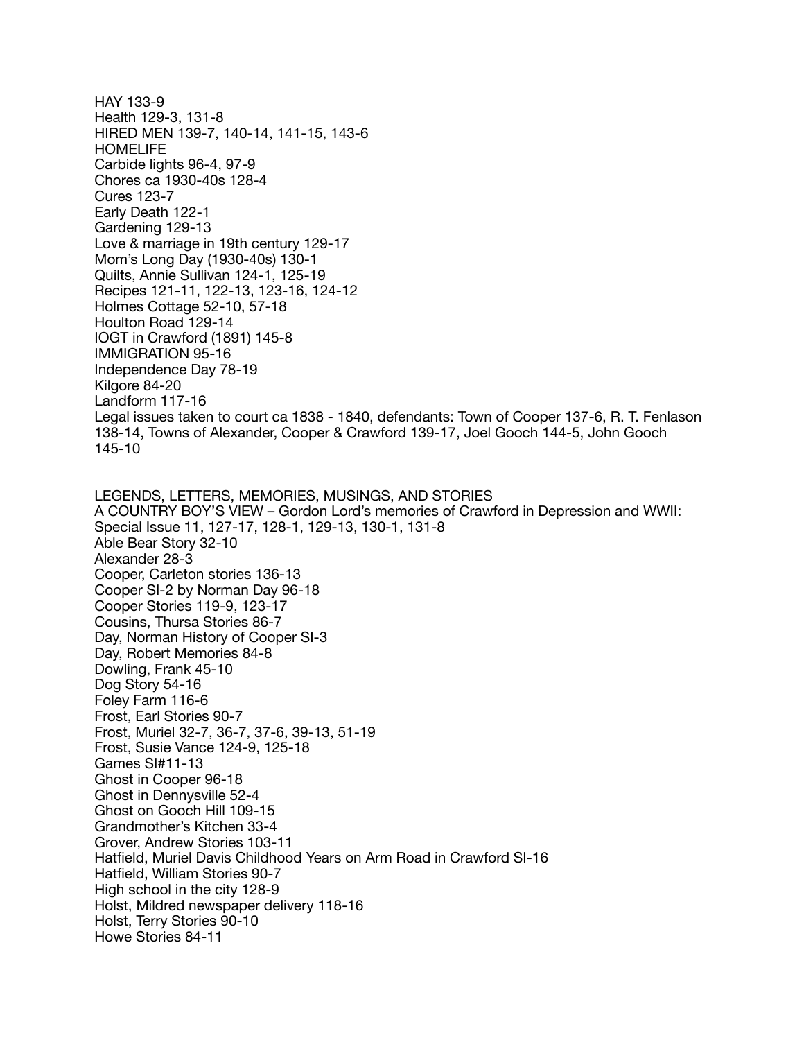HAY 133-9 Health 129-3, 131-8 HIRED MEN 139-7, 140-14, 141-15, 143-6 HOMELIFE Carbide lights 96-4, 97-9 Chores ca 1930-40s 128-4 Cures 123-7 Early Death 122-1 Gardening 129-13 Love & marriage in 19th century 129-17 Mom's Long Day (1930-40s) 130-1 Quilts, Annie Sullivan 124-1, 125-19 Recipes 121-11, 122-13, 123-16, 124-12 Holmes Cottage 52-10, 57-18 Houlton Road 129-14 IOGT in Crawford (1891) 145-8 IMMIGRATION 95-16 Independence Day 78-19 Kilgore 84-20 Landform 117-16 Legal issues taken to court ca 1838 - 1840, defendants: Town of Cooper 137-6, R. T. Fenlason 138-14, Towns of Alexander, Cooper & Crawford 139-17, Joel Gooch 144-5, John Gooch 145-10 LEGENDS, LETTERS, MEMORIES, MUSINGS, AND STORIES A COUNTRY BOY'S VIEW – Gordon Lord's memories of Crawford in Depression and WWII: Special Issue 11, 127-17, 128-1, 129-13, 130-1, 131-8 Able Bear Story 32-10 Alexander 28-3 Cooper, Carleton stories 136-13 Cooper SI-2 by Norman Day 96-18 Cooper Stories 119-9, 123-17 Cousins, Thursa Stories 86-7 Day, Norman History of Cooper SI-3 Day, Robert Memories 84-8 Dowling, Frank 45-10 Dog Story 54-16 Foley Farm 116-6 Frost, Earl Stories 90-7 Frost, Muriel 32-7, 36-7, 37-6, 39-13, 51-19 Frost, Susie Vance 124-9, 125-18 Games SI#11-13 Ghost in Cooper 96-18 Ghost in Dennysville 52-4 Ghost on Gooch Hill 109-15 Grandmother's Kitchen 33-4 Grover, Andrew Stories 103-11 Hatfield, Muriel Davis Childhood Years on Arm Road in Crawford SI-16 Hatfield, William Stories 90-7 High school in the city 128-9 Holst, Mildred newspaper delivery 118-16 Holst, Terry Stories 90-10 Howe Stories 84-11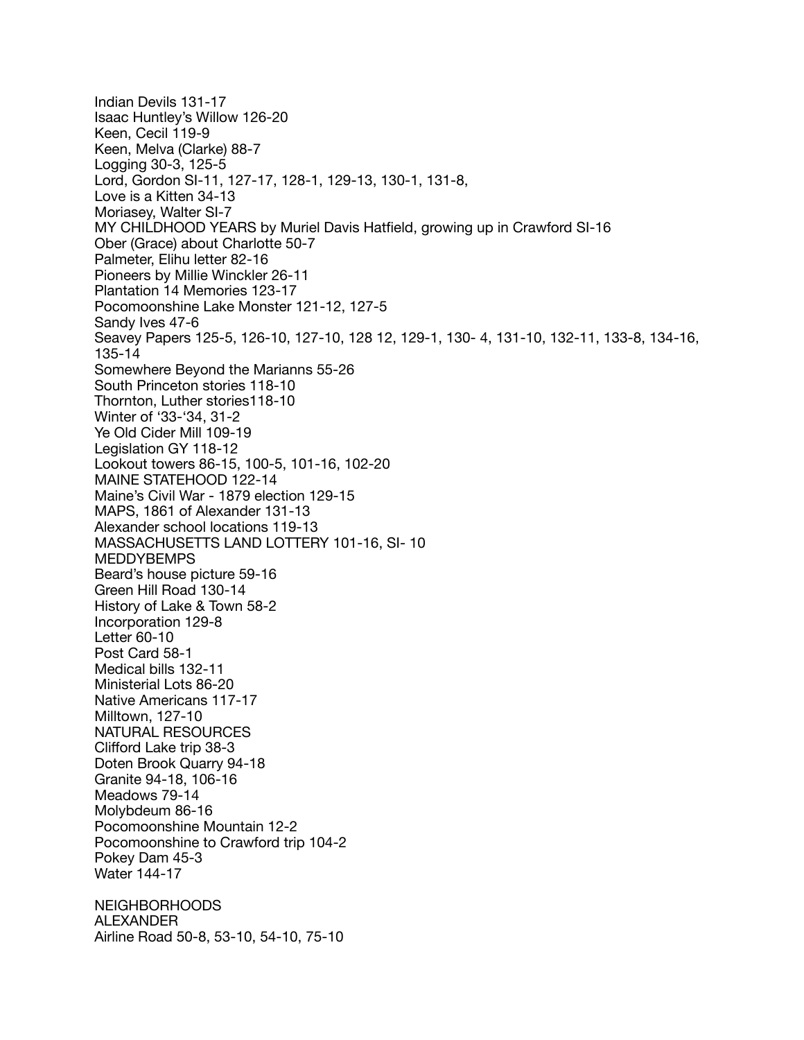Indian Devils 131-17 Isaac Huntley's Willow 126-20 Keen, Cecil 119-9 Keen, Melva (Clarke) 88-7 Logging 30-3, 125-5 Lord, Gordon SI-11, 127-17, 128-1, 129-13, 130-1, 131-8, Love is a Kitten 34-13 Moriasey, Walter SI-7 MY CHILDHOOD YEARS by Muriel Davis Hatfield, growing up in Crawford SI-16 Ober (Grace) about Charlotte 50-7 Palmeter, Elihu letter 82-16 Pioneers by Millie Winckler 26-11 Plantation 14 Memories 123-17 Pocomoonshine Lake Monster 121-12, 127-5 Sandy Ives 47-6 Seavey Papers 125-5, 126-10, 127-10, 128 12, 129-1, 130- 4, 131-10, 132-11, 133-8, 134-16, 135-14 Somewhere Beyond the Marianns 55-26 South Princeton stories 118-10 Thornton, Luther stories118-10 Winter of '33-'34, 31-2 Ye Old Cider Mill 109-19 Legislation GY 118-12 Lookout towers 86-15, 100-5, 101-16, 102-20 MAINE STATEHOOD 122-14 Maine's Civil War - 1879 election 129-15 MAPS, 1861 of Alexander 131-13 Alexander school locations 119-13 MASSACHUSETTS LAND LOTTERY 101-16, SI- 10 MEDDYBEMPS Beard's house picture 59-16 Green Hill Road 130-14 History of Lake & Town 58-2 Incorporation 129-8 Letter 60-10 Post Card 58-1 Medical bills 132-11 Ministerial Lots 86-20 Native Americans 117-17 Milltown, 127-10 NATURAL RESOURCES Clifford Lake trip 38-3 Doten Brook Quarry 94-18 Granite 94-18, 106-16 Meadows 79-14 Molybdeum 86-16 Pocomoonshine Mountain 12-2 Pocomoonshine to Crawford trip 104-2 Pokey Dam 45-3 Water 144-17 NEIGHBORHOODS ALEXANDER Airline Road 50-8, 53-10, 54-10, 75-10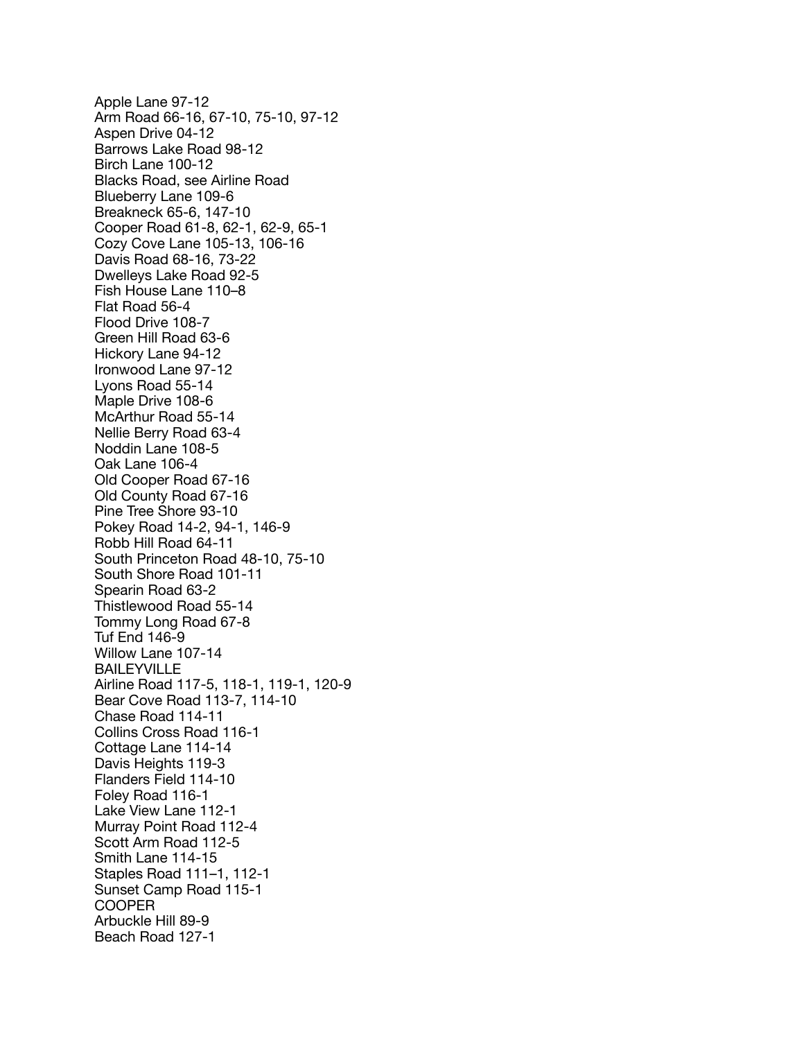Apple Lane 97-12 Arm Road 66-16, 67-10, 75-10, 97-12 Aspen Drive 04-12 Barrows Lake Road 98-12 Birch Lane 100-12 Blacks Road, see Airline Road Blueberry Lane 109-6 Breakneck 65-6, 147-10 Cooper Road 61-8, 62-1, 62-9, 65-1 Cozy Cove Lane 105-13, 106-16 Davis Road 68-16, 73-22 Dwelleys Lake Road 92-5 Fish House Lane 110–8 Flat Road 56-4 Flood Drive 108-7 Green Hill Road 63-6 Hickory Lane 94-12 Ironwood Lane 97-12 Lyons Road 55-14 Maple Drive 108-6 McArthur Road 55-14 Nellie Berry Road 63-4 Noddin Lane 108-5 Oak Lane 106-4 Old Cooper Road 67-16 Old County Road 67-16 Pine Tree Shore 93-10 Pokey Road 14-2, 94-1, 146-9 Robb Hill Road 64-11 South Princeton Road 48-10, 75-10 South Shore Road 101-11 Spearin Road 63-2 Thistlewood Road 55-14 Tommy Long Road 67-8 Tuf End 146-9 Willow Lane 107-14 BAILEYVILLE Airline Road 117-5, 118-1, 119-1, 120-9 Bear Cove Road 113-7, 114-10 Chase Road 114-11 Collins Cross Road 116-1 Cottage Lane 114-14 Davis Heights 119-3 Flanders Field 114-10 Foley Road 116-1 Lake View Lane 112-1 Murray Point Road 112-4 Scott Arm Road 112-5 Smith Lane 114-15 Staples Road 111–1, 112-1 Sunset Camp Road 115-1 COOPER Arbuckle Hill 89-9 Beach Road 127-1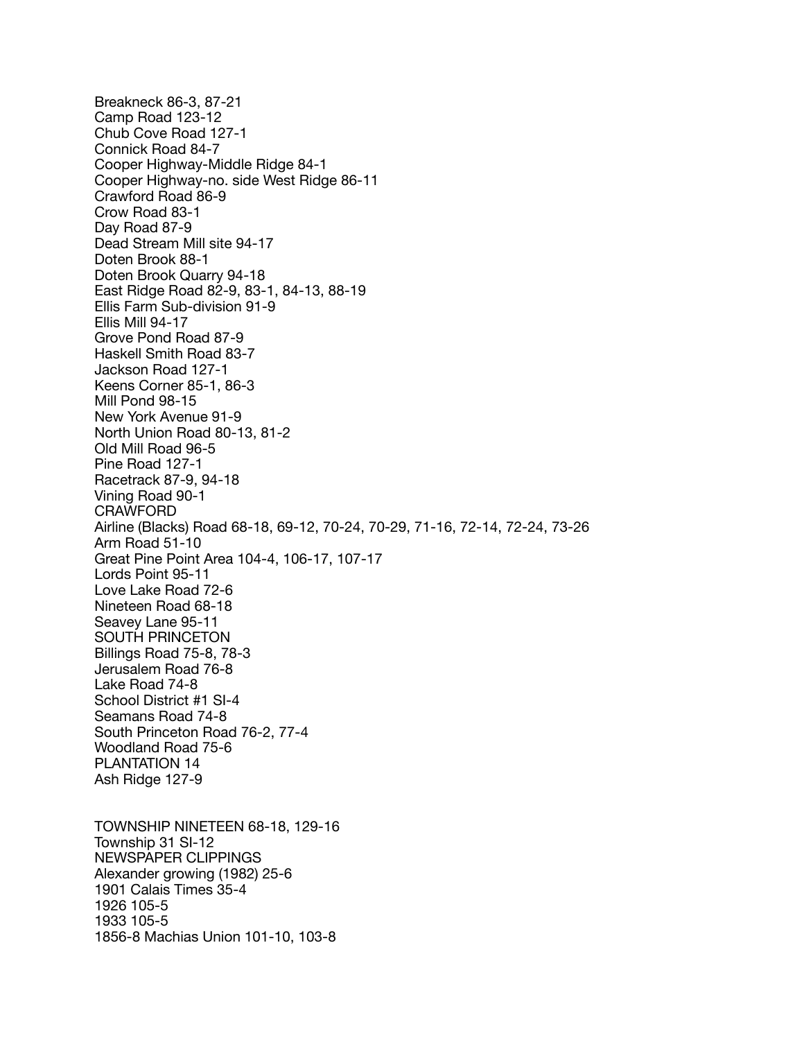Breakneck 86-3, 87-21 Camp Road 123-12 Chub Cove Road 127-1 Connick Road 84-7 Cooper Highway-Middle Ridge 84-1 Cooper Highway-no. side West Ridge 86-11 Crawford Road 86-9 Crow Road 83-1 Day Road 87-9 Dead Stream Mill site 94-17 Doten Brook 88-1 Doten Brook Quarry 94-18 East Ridge Road 82-9, 83-1, 84-13, 88-19 Ellis Farm Sub-division 91-9 Ellis Mill 94-17 Grove Pond Road 87-9 Haskell Smith Road 83-7 Jackson Road 127-1 Keens Corner 85-1, 86-3 Mill Pond 98-15 New York Avenue 91-9 North Union Road 80-13, 81-2 Old Mill Road 96-5 Pine Road 127-1 Racetrack 87-9, 94-18 Vining Road 90-1 CRAWFORD Airline (Blacks) Road 68-18, 69-12, 70-24, 70-29, 71-16, 72-14, 72-24, 73-26 Arm Road 51-10 Great Pine Point Area 104-4, 106-17, 107-17 Lords Point 95-11 Love Lake Road 72-6 Nineteen Road 68-18 Seavey Lane 95-11 SOUTH PRINCETON Billings Road 75-8, 78-3 Jerusalem Road 76-8 Lake Road 74-8 School District #1 SI-4 Seamans Road 74-8 South Princeton Road 76-2, 77-4 Woodland Road 75-6 PLANTATION 14 Ash Ridge 127-9 TOWNSHIP NINETEEN 68-18, 129-16 Township 31 SI-12

NEWSPAPER CLIPPINGS Alexander growing (1982) 25-6 1901 Calais Times 35-4 1926 105-5 1933 105-5 1856-8 Machias Union 101-10, 103-8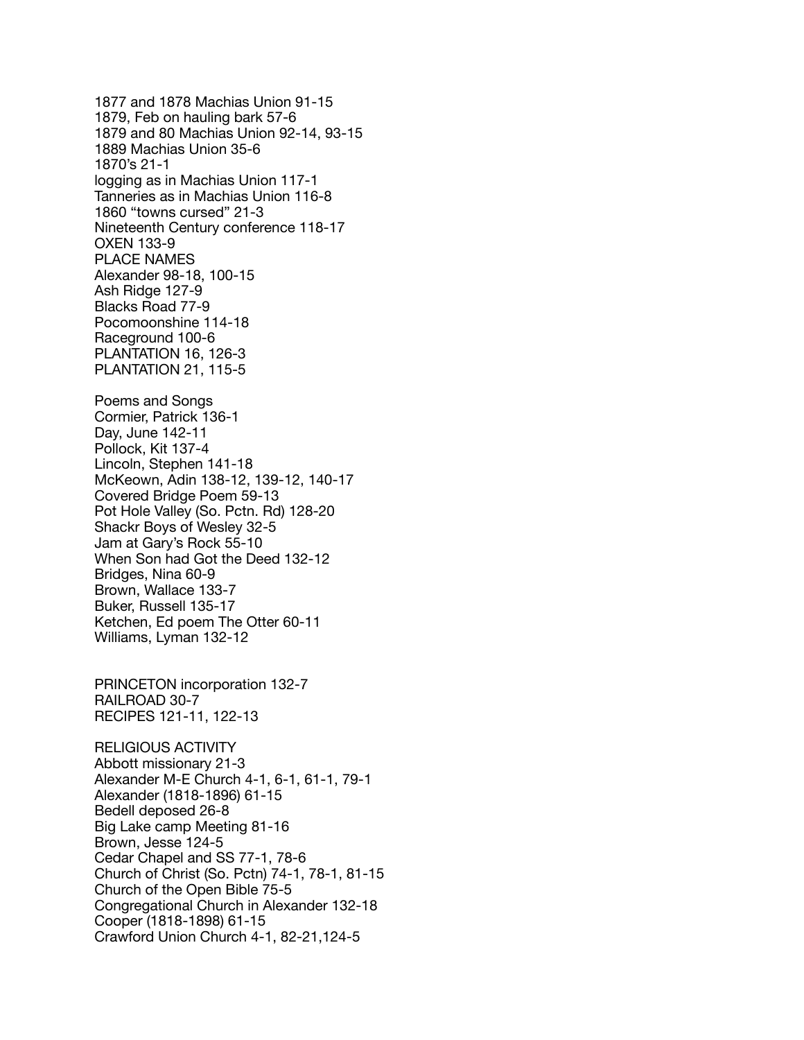1877 and 1878 Machias Union 91-15 1879, Feb on hauling bark 57-6 1879 and 80 Machias Union 92-14, 93-15 1889 Machias Union 35-6 1870's 21-1 logging as in Machias Union 117-1 Tanneries as in Machias Union 116-8 1860 "towns cursed" 21-3 Nineteenth Century conference 118-17 OXEN 133-9 PLACE NAMES Alexander 98-18, 100-15 Ash Ridge 127-9 Blacks Road 77-9 Pocomoonshine 114-18 Raceground 100-6 PLANTATION 16, 126-3 PLANTATION 21, 115-5 Poems and Songs Cormier, Patrick 136-1 Day, June 142-11 Pollock, Kit 137-4 Lincoln, Stephen 141-18 McKeown, Adin 138-12, 139-12, 140-17 Covered Bridge Poem 59-13 Pot Hole Valley (So. Pctn. Rd) 128-20 Shackr Boys of Wesley 32-5 Jam at Gary's Rock 55-10 When Son had Got the Deed 132-12 Bridges, Nina 60-9 Brown, Wallace 133-7 Buker, Russell 135-17 Ketchen, Ed poem The Otter 60-11 Williams, Lyman 132-12 PRINCETON incorporation 132-7 RAILROAD 30-7 RECIPES 121-11, 122-13 RELIGIOUS ACTIVITY Abbott missionary 21-3 Alexander M-E Church 4-1, 6-1, 61-1, 79-1 Alexander (1818-1896) 61-15 Bedell deposed 26-8 Big Lake camp Meeting 81-16 Brown, Jesse 124-5 Cedar Chapel and SS 77-1, 78-6 Church of Christ (So. Pctn) 74-1, 78-1, 81-15 Church of the Open Bible 75-5 Congregational Church in Alexander 132-18 Cooper (1818-1898) 61-15 Crawford Union Church 4-1, 82-21,124-5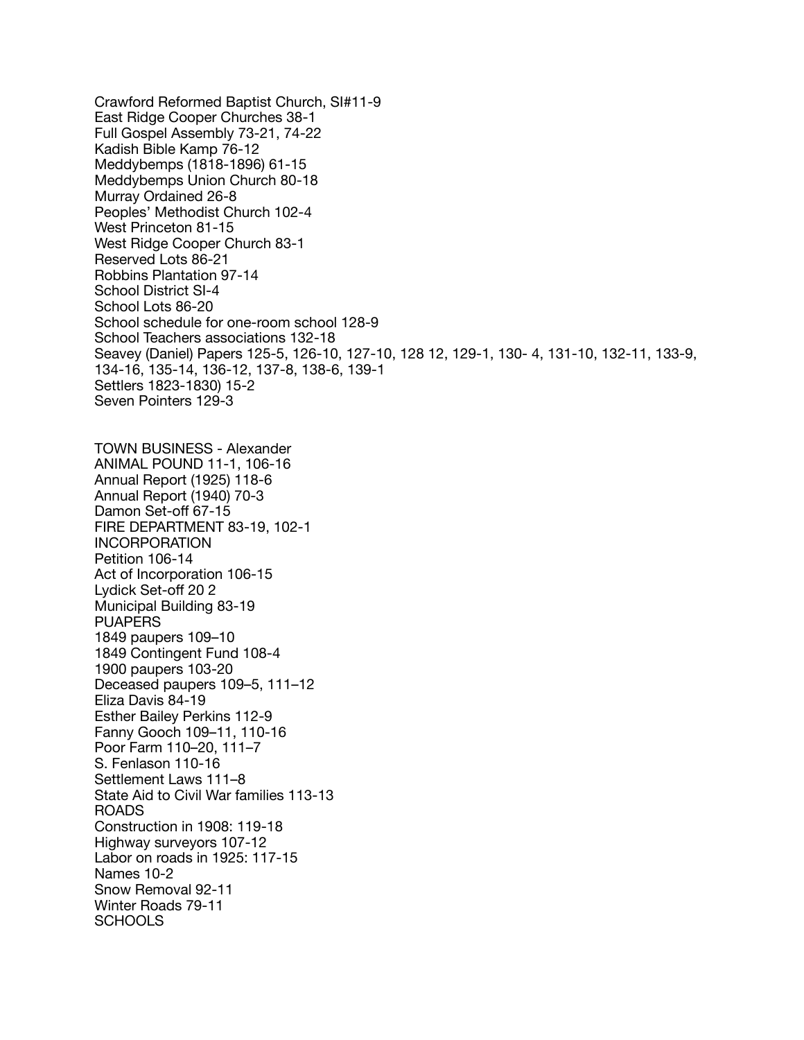Crawford Reformed Baptist Church, SI#11-9 East Ridge Cooper Churches 38-1 Full Gospel Assembly 73-21, 74-22 Kadish Bible Kamp 76-12 Meddybemps (1818-1896) 61-15 Meddybemps Union Church 80-18 Murray Ordained 26-8 Peoples' Methodist Church 102-4 West Princeton 81-15 West Ridge Cooper Church 83-1 Reserved Lots 86-21 Robbins Plantation 97-14 School District SI-4 School Lots 86-20 School schedule for one-room school 128-9 School Teachers associations 132-18 Seavey (Daniel) Papers 125-5, 126-10, 127-10, 128 12, 129-1, 130- 4, 131-10, 132-11, 133-9, 134-16, 135-14, 136-12, 137-8, 138-6, 139-1 Settlers 1823-1830) 15-2 Seven Pointers 129-3 TOWN BUSINESS - Alexander ANIMAL POUND 11-1, 106-16 Annual Report (1925) 118-6 Annual Report (1940) 70-3 Damon Set-off 67-15 FIRE DEPARTMENT 83-19, 102-1 INCORPORATION Petition 106-14 Act of Incorporation 106-15 Lydick Set-off 20 2 Municipal Building 83-19 **PUAPERS** 1849 paupers 109–10 1849 Contingent Fund 108-4 1900 paupers 103-20 Deceased paupers 109–5, 111–12 Eliza Davis 84-19 Esther Bailey Perkins 112-9 Fanny Gooch 109–11, 110-16 Poor Farm 110–20, 111–7 S. Fenlason 110-16 Settlement Laws 111–8 State Aid to Civil War families 113-13 ROADS Construction in 1908: 119-18 Highway surveyors 107-12 Labor on roads in 1925: 117-15 Names 10-2 Snow Removal 92-11 Winter Roads 79-11 **SCHOOLS**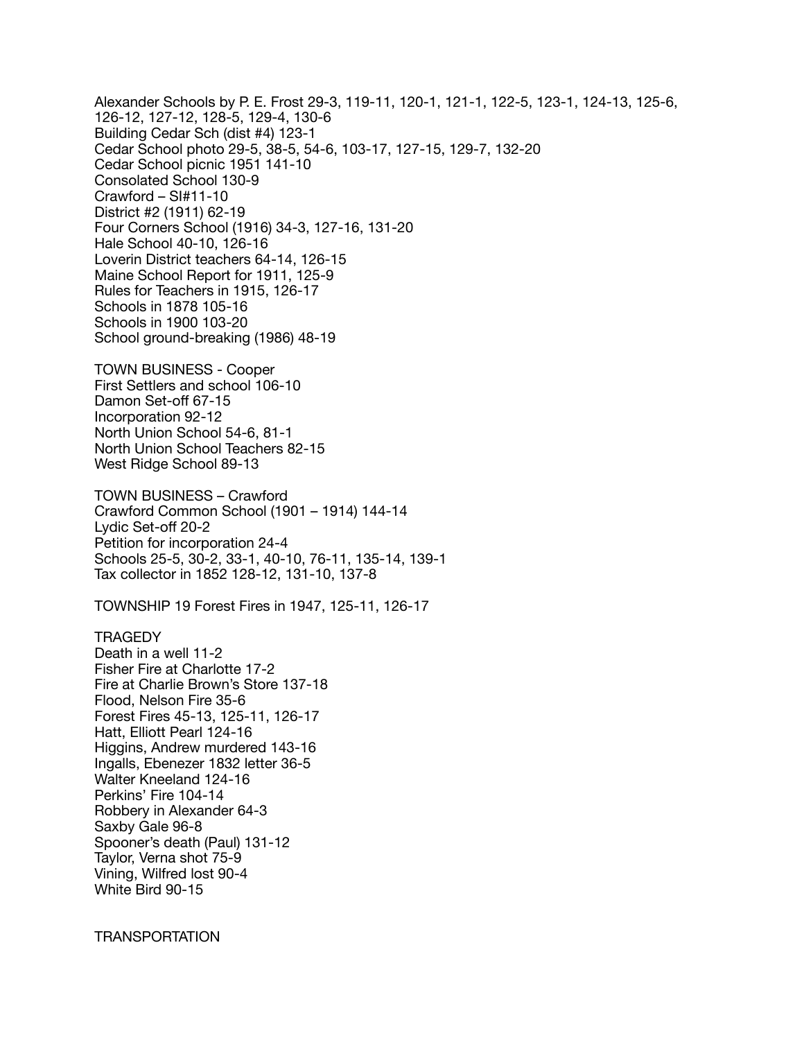Alexander Schools by P. E. Frost 29-3, 119-11, 120-1, 121-1, 122-5, 123-1, 124-13, 125-6, 126-12, 127-12, 128-5, 129-4, 130-6 Building Cedar Sch (dist #4) 123-1 Cedar School photo 29-5, 38-5, 54-6, 103-17, 127-15, 129-7, 132-20 Cedar School picnic 1951 141-10 Consolated School 130-9 Crawford – SI#11-10 District #2 (1911) 62-19 Four Corners School (1916) 34-3, 127-16, 131-20 Hale School 40-10, 126-16 Loverin District teachers 64-14, 126-15 Maine School Report for 1911, 125-9 Rules for Teachers in 1915, 126-17 Schools in 1878 105-16 Schools in 1900 103-20 School ground-breaking (1986) 48-19

TOWN BUSINESS - Cooper First Settlers and school 106-10 Damon Set-off 67-15 Incorporation 92-12 North Union School 54-6, 81-1 North Union School Teachers 82-15 West Ridge School 89-13

TOWN BUSINESS – Crawford Crawford Common School (1901 – 1914) 144-14 Lydic Set-off 20-2 Petition for incorporation 24-4 Schools 25-5, 30-2, 33-1, 40-10, 76-11, 135-14, 139-1 Tax collector in 1852 128-12, 131-10, 137-8

TOWNSHIP 19 Forest Fires in 1947, 125-11, 126-17

**TRAGEDY** 

Death in a well 11-2 Fisher Fire at Charlotte 17-2 Fire at Charlie Brown's Store 137-18 Flood, Nelson Fire 35-6 Forest Fires 45-13, 125-11, 126-17 Hatt, Elliott Pearl 124-16 Higgins, Andrew murdered 143-16 Ingalls, Ebenezer 1832 letter 36-5 Walter Kneeland 124-16 Perkins' Fire 104-14 Robbery in Alexander 64-3 Saxby Gale 96-8 Spooner's death (Paul) 131-12 Taylor, Verna shot 75-9 Vining, Wilfred lost 90-4 White Bird 90-15

TRANSPORTATION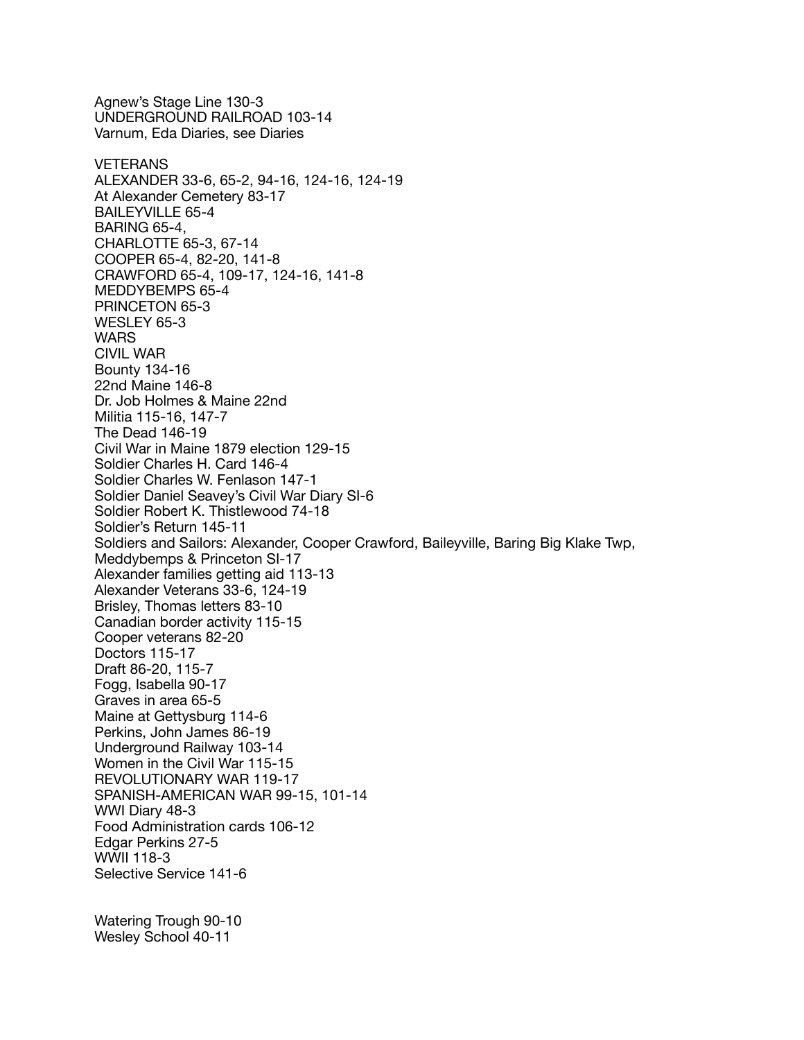Agnew's Stage Line 130-3 UNDERGROUND RAILROAD 103-14 Varnum, Eda Diaries, see Diaries **VETERANS** ALEXANDER 33-6, 65-2, 94-16, 124-16, 124-19 At Alexander Cemetery 83-17 BAILEYVILLE 65-4 BARING 65-4, CHARLOTTE 65-3, 67-14 COOPER 65-4, 82-20, 141-8 CRAWFORD 65-4, 109-17, 124-16, 141-8 MEDDYBEMPS 65-4 PRINCETON 65-3 WESLEY 65-3 **WARS** CIVIL WAR Bounty 134-16 22nd Maine 146-8 Dr. Job Holmes & Maine 22nd Militia 115-16, 147-7 The Dead 146-19 Civil War in Maine 1879 election 129-15 Soldier Charles H. Card 146-4 Soldier Charles W. Fenlason 147-1 Soldier Daniel Seavey's Civil War Diary SI-6 Soldier Robert K. Thistlewood 74-18 Soldier's Return 145-11 Soldiers and Sailors: Alexander, Cooper Crawford, Baileyville, Baring Big Klake Twp, Meddybemps & Princeton SI-17 Alexander families getting aid 113-13 Alexander Veterans 33-6, 124-19 Brisley, Thomas letters 83-10 Canadian border activity 115-15 Cooper veterans 82-20 Doctors 115-17 Draft 86-20, 115-7 Fogg, Isabella 90-17 Graves in area 65-5 Maine at Gettysburg 114-6 Perkins, John James 86-19 Underground Railway 103-14 Women in the Civil War 115-15 REVOLUTIONARY WAR 119-17 SPANISH-AMERICAN WAR 99-15, 101-14 WWI Diary 48-3 Food Administration cards 106-12 Edgar Perkins 27-5 WWII 118-3 Selective Service 141-6 Watering Trough 90-10 Wesley School 40-11